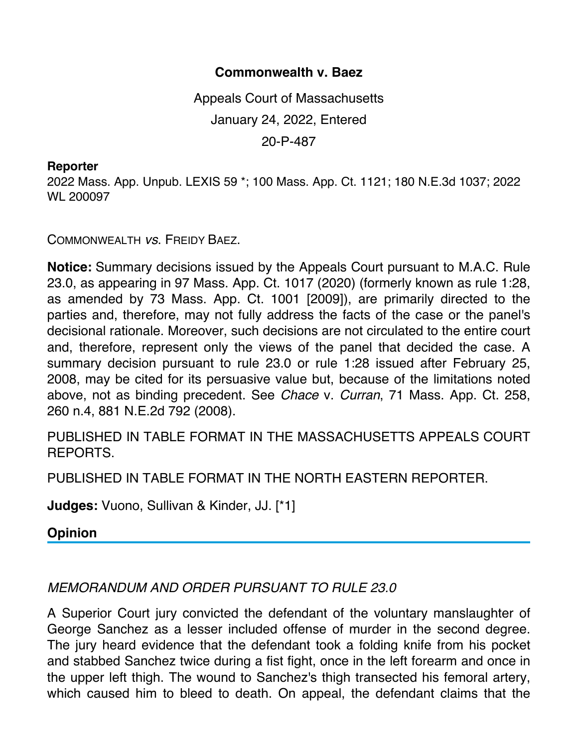## **Commonwealth v. Baez**

Appeals Court of Massachusetts January 24, 2022, Entered 20-P-487

## **Reporter**

2022 Mass. App. Unpub. LEXIS 59 \*; 100 Mass. App. Ct. 1121; 180 N.E.3d 1037; 2022 WL 200097

COMMONWEALTH *vs*. FREIDY BAEZ.

**Notice:** Summary decisions issued by the Appeals Court pursuant to M.A.C. Rule 23.0, as appearing in 97 Mass. App. Ct. 1017 (2020) (formerly known as rule 1:28, as amended by 73 Mass. App. Ct. 1001 [2009]), are primarily directed to the parties and, therefore, may not fully address the facts of the case or the panel's decisional rationale. Moreover, such decisions are not circulated to the entire court and, therefore, represent only the views of the panel that decided the case. A summary decision pursuant to rule 23.0 or rule 1:28 issued after February 25, 2008, may be cited for its persuasive value but, because of the limitations noted above, not as binding precedent. See *Chace* v. *Curran*, 71 Mass. App. Ct. 258, 260 n.4, 881 N.E.2d 792 (2008).

PUBLISHED IN TABLE FORMAT IN THE MASSACHUSETTS APPEALS COURT REPORTS.

PUBLISHED IN TABLE FORMAT IN THE NORTH EASTERN REPORTER.

**Judges:** Vuono, Sullivan & Kinder, JJ. [\*1]

**Opinion**

## *MEMORANDUM AND ORDER PURSUANT TO RULE 23.0*

A Superior Court jury convicted the defendant of the voluntary manslaughter of George Sanchez as a lesser included offense of murder in the second degree. The jury heard evidence that the defendant took a folding knife from his pocket and stabbed Sanchez twice during a fist fight, once in the left forearm and once in the upper left thigh. The wound to Sanchez's thigh transected his femoral artery, which caused him to bleed to death. On appeal, the defendant claims that the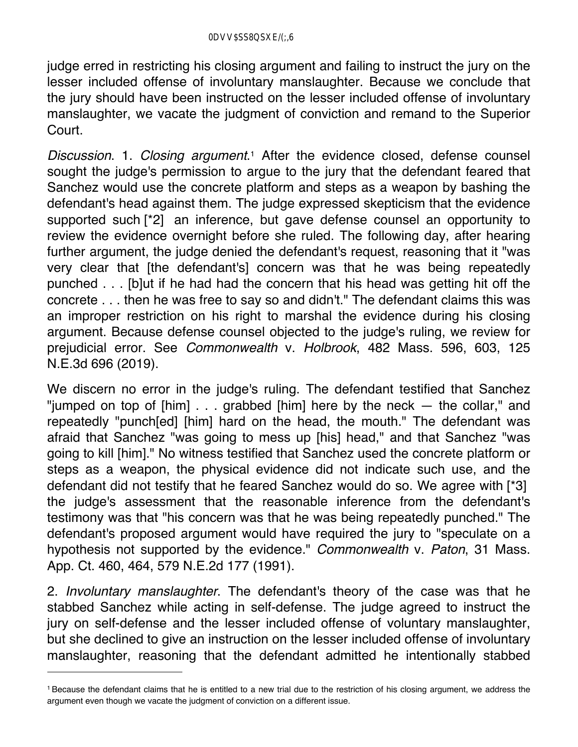judge erred in restricting his closing argument and failing to instruct the jury on the lesser included offense of involuntary manslaughter. Because we conclude that the jury should have been instructed on the lesser included offense of involuntary manslaughter, we vacate the judgment of conviction and remand to the Superior Court.

*Discussion*. 1. *Closing argument*.1 After the evidence closed, defense counsel sought the judge's permission to argue to the jury that the defendant feared that Sanchez would use the concrete platform and steps as a weapon by bashing the defendant's head against them. The judge expressed skepticism that the evidence supported such [\*2] an inference, but gave defense counsel an opportunity to review the evidence overnight before she ruled. The following day, after hearing further argument, the judge denied the defendant's request, reasoning that it "was very clear that [the defendant's] concern was that he was being repeatedly punched . . . [b]ut if he had had the concern that his head was getting hit off the concrete . . . then he was free to say so and didn't." The defendant claims this was an improper restriction on his right to marshal the evidence during his closing argument. Because defense counsel objected to the judge's ruling, we review for prejudicial error. See *Commonwealth* v. *Holbrook*, 482 Mass. 596, 603, 125 N.E.3d 696 (2019).

We discern no error in the judge's ruling. The defendant testified that Sanchez "jumped on top of [him] . . . grabbed [him] here by the neck — the collar," and repeatedly "punch[ed] [him] hard on the head, the mouth." The defendant was afraid that Sanchez "was going to mess up [his] head," and that Sanchez "was going to kill [him]." No witness testified that Sanchez used the concrete platform or steps as a weapon, the physical evidence did not indicate such use, and the defendant did not testify that he feared Sanchez would do so. We agree with [\*3] the judge's assessment that the reasonable inference from the defendant's testimony was that "his concern was that he was being repeatedly punched." The defendant's proposed argument would have required the jury to "speculate on a hypothesis not supported by the evidence." *Commonwealth* v. *Paton*, 31 Mass. App. Ct. 460, 464, 579 N.E.2d 177 (1991).

2. *Involuntary manslaughter*. The defendant's theory of the case was that he stabbed Sanchez while acting in self-defense. The judge agreed to instruct the jury on self-defense and the lesser included offense of voluntary manslaughter, but she declined to give an instruction on the lesser included offense of involuntary manslaughter, reasoning that the defendant admitted he intentionally stabbed

<sup>1</sup> Because the defendant claims that he is entitled to a new trial due to the restriction of his closing argument, we address the argument even though we vacate the judgment of conviction on a different issue.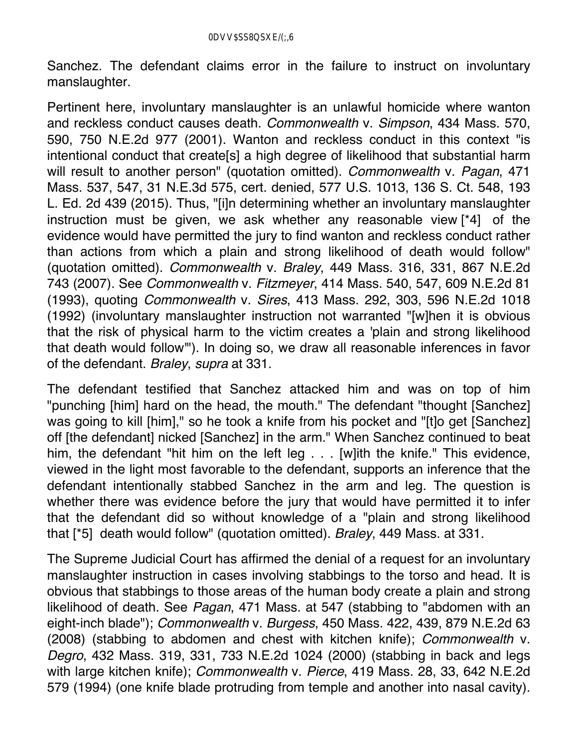Sanchez. The defendant claims error in the failure to instruct on involuntary manslaughter.

Pertinent here, involuntary manslaughter is an unlawful homicide where wanton and reckless conduct causes death. *Commonwealth* v. *Simpson*, 434 Mass. 570, 590, 750 N.E.2d 977 (2001). Wanton and reckless conduct in this context "is intentional conduct that create[s] a high degree of likelihood that substantial harm will result to another person" (quotation omitted). *Commonwealth* v. *Pagan*, 471 Mass. 537, 547, 31 N.E.3d 575, cert. denied, 577 U.S. 1013, 136 S. Ct. 548, 193 L. Ed. 2d 439 (2015). Thus, "[i]n determining whether an involuntary manslaughter instruction must be given, we ask whether any reasonable view [\*4] of the evidence would have permitted the jury to find wanton and reckless conduct rather than actions from which a plain and strong likelihood of death would follow" (quotation omitted). *Commonwealth* v. *Braley*, 449 Mass. 316, 331, 867 N.E.2d 743 (2007). See *Commonwealth* v. *Fitzmeyer*, 414 Mass. 540, 547, 609 N.E.2d 81 (1993), quoting *Commonwealth* v. *Sires*, 413 Mass. 292, 303, 596 N.E.2d 1018 (1992) (involuntary manslaughter instruction not warranted "[w]hen it is obvious that the risk of physical harm to the victim creates a 'plain and strong likelihood that death would follow'"). In doing so, we draw all reasonable inferences in favor of the defendant. *Braley*, *supra* at 331.

The defendant testified that Sanchez attacked him and was on top of him "punching [him] hard on the head, the mouth." The defendant "thought [Sanchez] was going to kill [him]," so he took a knife from his pocket and "[t]o get [Sanchez] off [the defendant] nicked [Sanchez] in the arm." When Sanchez continued to beat him, the defendant "hit him on the left leg . . . [w]ith the knife." This evidence, viewed in the light most favorable to the defendant, supports an inference that the defendant intentionally stabbed Sanchez in the arm and leg. The question is whether there was evidence before the jury that would have permitted it to infer that the defendant did so without knowledge of a "plain and strong likelihood that [\*5] death would follow" (quotation omitted). *Braley*, 449 Mass. at 331.

The Supreme Judicial Court has affirmed the denial of a request for an involuntary manslaughter instruction in cases involving stabbings to the torso and head. It is obvious that stabbings to those areas of the human body create a plain and strong likelihood of death. See *Pagan*, 471 Mass. at 547 (stabbing to "abdomen with an eight-inch blade"); *Commonwealth* v. *Burgess*, 450 Mass. 422, 439, 879 N.E.2d 63 (2008) (stabbing to abdomen and chest with kitchen knife); *Commonwealth* v. *Degro*, 432 Mass. 319, 331, 733 N.E.2d 1024 (2000) (stabbing in back and legs with large kitchen knife); *Commonwealth* v. *Pierce*, 419 Mass. 28, 33, 642 N.E.2d 579 (1994) (one knife blade protruding from temple and another into nasal cavity).